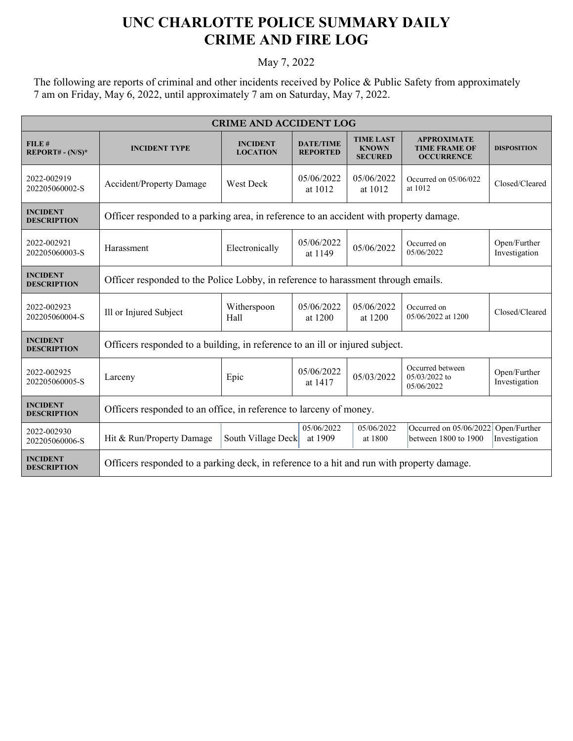## **UNC CHARLOTTE POLICE SUMMARY DAILY CRIME AND FIRE LOG**

May 7, 2022

The following are reports of criminal and other incidents received by Police & Public Safety from approximately 7 am on Friday, May 6, 2022, until approximately 7 am on Saturday, May 7, 2022.

| <b>CRIME AND ACCIDENT LOG</b>         |                                                                                           |                                    |                                     |                                                    |                                                                 |                               |  |
|---------------------------------------|-------------------------------------------------------------------------------------------|------------------------------------|-------------------------------------|----------------------------------------------------|-----------------------------------------------------------------|-------------------------------|--|
| FILE#<br>$REPORT# - (N/S)*$           | <b>INCIDENT TYPE</b>                                                                      | <b>INCIDENT</b><br><b>LOCATION</b> | <b>DATE/TIME</b><br><b>REPORTED</b> | <b>TIME LAST</b><br><b>KNOWN</b><br><b>SECURED</b> | <b>APPROXIMATE</b><br><b>TIME FRAME OF</b><br><b>OCCURRENCE</b> | <b>DISPOSITION</b>            |  |
| 2022-002919<br>202205060002-S         | <b>Accident/Property Damage</b>                                                           | West Deck                          | 05/06/2022<br>at 1012               | 05/06/2022<br>at 1012                              | Occurred on 05/06/022<br>at 1012                                | Closed/Cleared                |  |
| <b>INCIDENT</b><br><b>DESCRIPTION</b> | Officer responded to a parking area, in reference to an accident with property damage.    |                                    |                                     |                                                    |                                                                 |                               |  |
| 2022-002921<br>202205060003-S         | Harassment                                                                                | Electronically                     | 05/06/2022<br>at 1149               | 05/06/2022                                         | Occurred on<br>05/06/2022                                       | Open/Further<br>Investigation |  |
| <b>INCIDENT</b><br><b>DESCRIPTION</b> | Officer responded to the Police Lobby, in reference to harassment through emails.         |                                    |                                     |                                                    |                                                                 |                               |  |
| 2022-002923<br>202205060004-S         | Ill or Injured Subject                                                                    | Witherspoon<br>Hall                | 05/06/2022<br>at 1200               | 05/06/2022<br>at 1200                              | Occurred on<br>05/06/2022 at 1200                               | Closed/Cleared                |  |
| <b>INCIDENT</b><br><b>DESCRIPTION</b> | Officers responded to a building, in reference to an ill or injured subject.              |                                    |                                     |                                                    |                                                                 |                               |  |
| 2022-002925<br>202205060005-S         | Larceny                                                                                   | Epic                               | 05/06/2022<br>at 1417               | 05/03/2022                                         | Occurred between<br>05/03/2022 to<br>05/06/2022                 | Open/Further<br>Investigation |  |
| <b>INCIDENT</b><br><b>DESCRIPTION</b> | Officers responded to an office, in reference to larceny of money.                        |                                    |                                     |                                                    |                                                                 |                               |  |
| 2022-002930<br>202205060006-S         | Hit & Run/Property Damage                                                                 | South Village Deck                 | 05/06/2022<br>at 1909               | 05/06/2022<br>at 1800                              | Occurred on 05/06/2022<br>between 1800 to 1900                  | Open/Further<br>Investigation |  |
| <b>INCIDENT</b><br><b>DESCRIPTION</b> | Officers responded to a parking deck, in reference to a hit and run with property damage. |                                    |                                     |                                                    |                                                                 |                               |  |